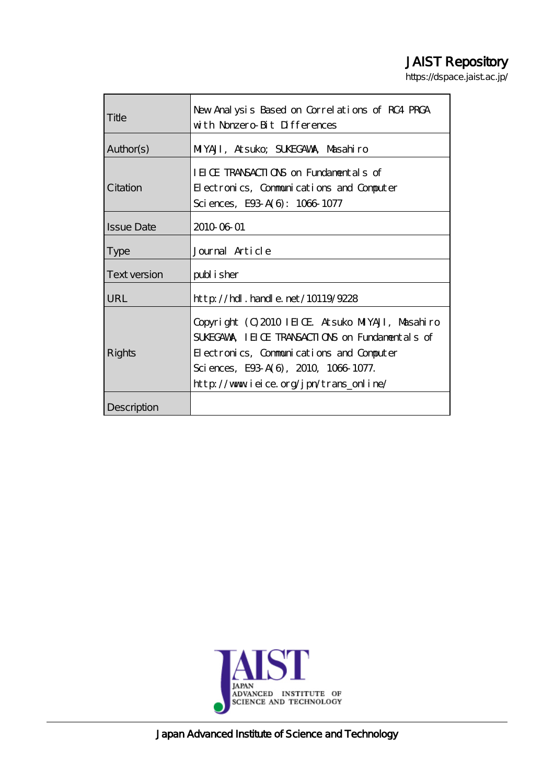# JAIST Repository

https://dspace.jaist.ac.jp/

| Title             | New Analysis Based on Correlations of RC4 PRCA<br>with Nonzero Bit Differences                                                                                                                                                  |
|-------------------|---------------------------------------------------------------------------------------------------------------------------------------------------------------------------------------------------------------------------------|
| Author(s)         | MIYAJI, Atsuko; SUKEGAWA, Masahiro                                                                                                                                                                                              |
| Citation          | IEICE TRANSACTIONS on Fundamentals of<br>Electronics, Communications and Computer<br>Sciences, E93 A(6): 1066 1077                                                                                                              |
| <b>Issue Date</b> | 2010 06 01                                                                                                                                                                                                                      |
| <b>Type</b>       | Journal Article                                                                                                                                                                                                                 |
| Text version      | publisher                                                                                                                                                                                                                       |
| URL               | $http$ // $hdl$ . handle. net/10119/9228                                                                                                                                                                                        |
| Rights            | Copyright (C) 2010 IEICE Atsuko MIYAJI, Masahiro<br>SUGGAWA IEICE TRANSACTIONS on Fundamentals of<br>Electronics, Communications and Computer<br>Sciences, E93 A(6), 2010, 1066 1077.<br>http://www.ieice.org/jpn/trans_online/ |
| Description       |                                                                                                                                                                                                                                 |



Japan Advanced Institute of Science and Technology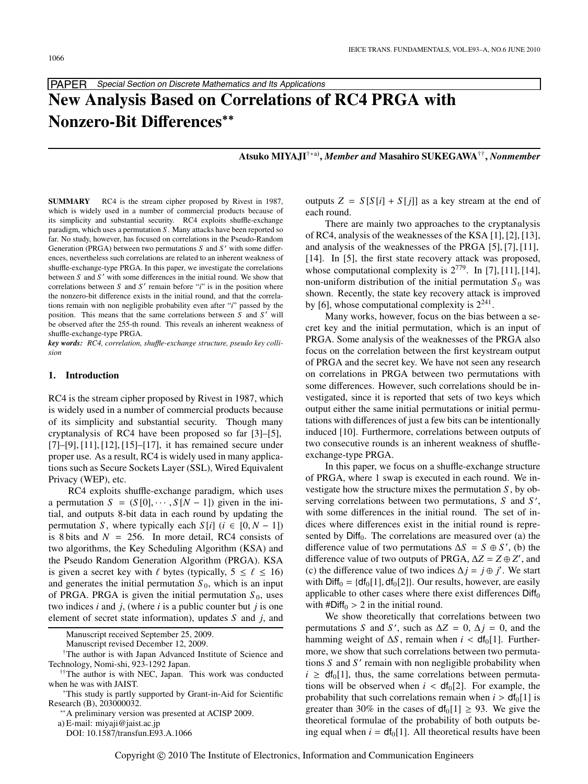

# **New Analysis Based on Correlations of RC4 PRGA with Nonzero-Bit Di**ff**erences**∗∗

**Atsuko MIYAJI**†∗a)**,** *Member and* **Masahiro SUKEGAWA**††**,** *Nonmember*

**SUMMARY** RC4 is the stream cipher proposed by Rivest in 1987, which is widely used in a number of commercial products because of its simplicity and substantial security. RC4 exploits shuffle-exchange paradigm, which uses a permutation *S* . Many attacks have been reported so far. No study, however, has focused on correlations in the Pseudo-Random Generation (PRGA) between two permutations *S* and *S'* with some differences, nevertheless such correlations are related to an inherent weakness of shuffle-exchange-type PRGA. In this paper, we investigate the correlations between *S* and *S'* with some differences in the initial round. We show that correlations between  $S$  and  $S'$  remain before "*i*" is in the position where the nonzero-bit difference exists in the initial round, and that the correlations remain with non negligible probability even after "*i*" passed by the position. This means that the same correlations between *S* and *S'* will be observed after the 255-th round. This reveals an inherent weakness of shuffle-exchange-type PRGA.

*key words: RC4, correlation, shu*ffl*e-exchange structure, pseudo key collision*

#### **1. Introduction**

RC4 is the stream cipher proposed by Rivest in 1987, which is widely used in a number of commercial products because of its simplicity and substantial security. Though many cryptanalysis of RC4 have been proposed so far [3]–[5], [7]–[9], [11], [12], [15]–[17], it has remained secure under proper use. As a result, RC4 is widely used in many applications such as Secure Sockets Layer (SSL), Wired Equivalent Privacy (WEP), etc.

RC4 exploits shuffle-exchange paradigm, which uses a permutation  $S = (S[0], \cdots, S[N-1])$  given in the initial, and outputs 8-bit data in each round by updating the permutation *S*, where typically each *S*[*i*] ( $i \in [0, N - 1]$ ) is 8 bits and  $N = 256$ . In more detail, RC4 consists of two algorithms, the Key Scheduling Algorithm (KSA) and the Pseudo Random Generation Algorithm (PRGA). KSA is given a secret key with  $\ell$  bytes (typically,  $5 \leq \ell \leq 16$ ) and generates the initial permutation  $S_0$ , which is an input of PRGA. PRGA is given the initial permutation  $S_0$ , uses two indices *i* and *j*, (where *i* is a public counter but *j* is one element of secret state information), updates *S* and *j*, and

Manuscript received September 25, 2009.

Manuscript revised December 12, 2009.

†The author is with Japan Advanced Institute of Science and Technology, Nomi-shi, 923-1292 Japan.

a) E-mail: miyaji@jaist.ac.jp

DOI: 10.1587/transfun.E93.A.1066

outputs  $Z = S[S[i] + S[j]]$  as a key stream at the end of each round.

There are mainly two approaches to the cryptanalysis of RC4, analysis of the weaknesses of the KSA [1], [2], [13], and analysis of the weaknesses of the PRGA [5], [7], [11], [14]. In [5], the first state recovery attack was proposed, whose computational complexity is  $2^{779}$ . In [7], [11], [14], non-uniform distribution of the initial permutation  $S_0$  was shown. Recently, the state key recovery attack is improved by [6], whose computational complexity is  $2^{241}$ .

Many works, however, focus on the bias between a secret key and the initial permutation, which is an input of PRGA. Some analysis of the weaknesses of the PRGA also focus on the correlation between the first keystream output of PRGA and the secret key. We have not seen any research on correlations in PRGA between two permutations with some differences. However, such correlations should be investigated, since it is reported that sets of two keys which output either the same initial permutations or initial permutations with differences of just a few bits can be intentionally induced [10]. Furthermore, correlations between outputs of two consecutive rounds is an inherent weakness of shuffleexchange-type PRGA.

In this paper, we focus on a shuffle-exchange structure of PRGA, where 1 swap is executed in each round. We investigate how the structure mixes the permutation *S* , by observing correlations between two permutations, *S* and *S* , with some differences in the initial round. The set of indices where differences exist in the initial round is represented by  $Diff_0$ . The correlations are measured over (a) the difference value of two permutations  $\Delta S = S \oplus S'$ , (b) the difference value of two outputs of PRGA,  $\Delta Z = Z \oplus Z'$ , and (c) the difference value of two indices  $\Delta j = j \oplus j'$ . We start with  $Diff_0 = \{df_0[1], df_0[2]\}$ . Our results, however, are easily applicable to other cases where there exist differences  $\text{Diff}_0$ with  $#Diff_0 > 2$  in the initial round.

We show theoretically that correlations between two permutations *S* and *S'*, such as  $\Delta Z = 0$ ,  $\Delta j = 0$ , and the hamming weight of  $\Delta S$ , remain when  $i < df_0[1]$ . Furthermore, we show that such correlations between two permutations *S* and *S* remain with non negligible probability when  $i \geq d f_0[1]$ , thus, the same correlations between permutations will be observed when  $i < df_0[2]$ . For example, the probability that such correlations remain when  $i > df_0[1]$  is greater than 30% in the cases of  $df_0[1] \ge 93$ . We give the theoretical formulae of the probability of both outputs being equal when  $i = df_0[1]$ . All theoretical results have been

<sup>&</sup>lt;sup>††</sup>The author is with NEC, Japan. This work was conducted when he was with JAIST.

<sup>\*</sup>This study is partly supported by Grant-in-Aid for Scientific Research (B), 203000032.<br><sup>\*\*</sup>A preliminary version was presented at ACISP 2009.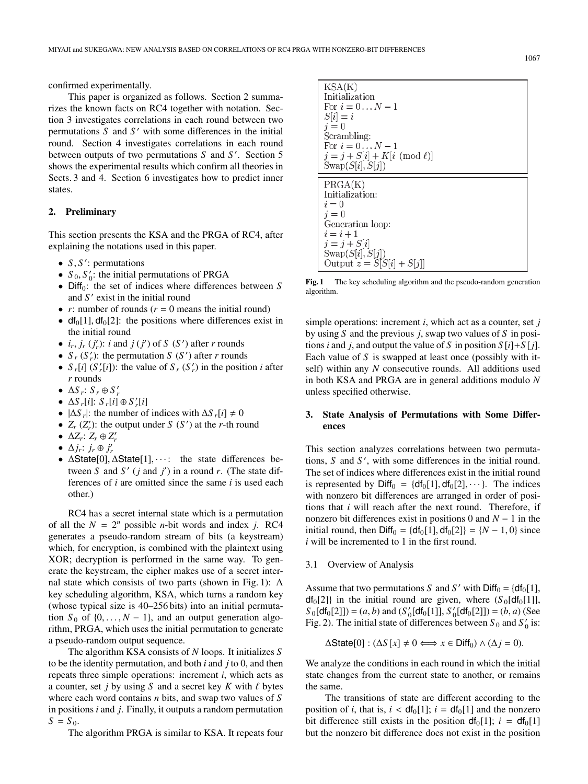confirmed experimentally.

This paper is organized as follows. Section 2 summarizes the known facts on RC4 together with notation. Section 3 investigates correlations in each round between two permutations  $S$  and  $S'$  with some differences in the initial round. Section 4 investigates correlations in each round between outputs of two permutations *S* and *S* . Section 5 shows the experimental results which confirm all theories in Sects. 3 and 4. Section 6 investigates how to predict inner states.

# **2. Preliminary**

This section presents the KSA and the PRGA of RC4, after explaining the notations used in this paper.

- *S*, *S* : permutations
- $S_0$ ,  $S'_0$ : the initial permutations of PRGA
- Diff<sub>0</sub>: the set of indices where differences between *S* and S' exist in the initial round
- $r$ : number of rounds ( $r = 0$  means the initial round)
- $df_0[1]$ ,  $df_0[2]$ : the positions where differences exist in the initial round
- $i_r$ ,  $j_r$  ( $j'_r$ ):  $i$  and  $j$  ( $j'$ ) of *S* (*S*<sup> $\prime$ </sup>) after *r* rounds
- $S_r(S'_r)$ : the permutation *S* (*S*<sup>'</sup>) after *r* rounds
- $S_r[i]$   $(S'_r[i])$ : the value of  $S_r$   $(S'_r)$  in the position *i* after *r* rounds
- $\Delta S_r$ :  $S_r \oplus S'_r$
- $\Delta S_r[i]$ :  $S_r[i] \oplus S'_r[i]$
- $|\Delta S_r|$ : the number of indices with  $\Delta S_r[i] \neq 0$
- $Z_r(Z'_r)$ : the output under *S* (*S*<sup>'</sup>) at the *r*-th round
- $\Delta Z_r$ :  $Z_r \oplus Z'_r$
- $\Delta j_r$ :  $j_r \oplus j'_r$
- $\Delta$ State[0],  $\Delta$ State[1],  $\cdots$ : the state differences between *S* and *S'* (*j* and *j'*) in a round *r*. (The state differences of *i* are omitted since the same *i* is used each other.)

RC4 has a secret internal state which is a permutation of all the  $N = 2^n$  possible *n*-bit words and index *i*. RC4 generates a pseudo-random stream of bits (a keystream) which, for encryption, is combined with the plaintext using XOR; decryption is performed in the same way. To generate the keystream, the cipher makes use of a secret internal state which consists of two parts (shown in Fig. 1): A key scheduling algorithm, KSA, which turns a random key (whose typical size is 40–256 bits) into an initial permutation  $S_0$  of  $\{0, \ldots, N-1\}$ , and an output generation algorithm, PRGA, which uses the initial permutation to generate a pseudo-random output sequence.

The algorithm KSA consists of *N* loops. It initializes *S* to be the identity permutation, and both *i* and *j* to 0, and then repeats three simple operations: increment *i*, which acts as a counter, set *j* by using *S* and a secret key *K* with  $\ell$  bytes where each word contains *n* bits, and swap two values of *S* in positions *i* and *j*. Finally, it outputs a random permutation  $S = S_0$ .

The algorithm PRGA is similar to KSA. It repeats four



**Fig. 1** The key scheduling algorithm and the pseudo-random generation algorithm.

simple operations: increment *i*, which act as a counter, set *j* by using *S* and the previous *j*, swap two values of *S* in positions *i* and *j*, and output the value of *S* in position  $S[i]+S[j]$ . Each value of *S* is swapped at least once (possibly with itself) within any *N* consecutive rounds. All additions used in both KSA and PRGA are in general additions modulo *N* unless specified otherwise.

# **3.** State Analysis of Permutations with Some Differ**ences**

This section analyzes correlations between two permutations, *S* and *S'*, with some differences in the initial round. The set of indices where differences exist in the initial round is represented by  $\text{Diff}_0 = \{df_0[1], df_0[2], \cdots\}.$  The indices with nonzero bit differences are arranged in order of positions that *i* will reach after the next round. Therefore, if nonzero bit differences exist in positions 0 and *N* − 1 in the initial round, then  $\text{Diff}_0 = \{df_0[1], df_0[2]\} = \{N - 1, 0\}$  since *i* will be incremented to 1 in the first round.

#### 3.1 Overview of Analysis

Assume that two permutations *S* and *S'* with  $\text{Diff}_0 = \{df_0[1],$  $df_0[2]$  in the initial round are given, where  $(S_0[df_0[1]]$ ,  $S_0[df_0[2]]$  =  $(a, b)$  and  $(S'_0[df_0[1]], S'_0[df_0[2]]) = (b, a)$  (See Fig. 2). The initial state of differences between  $S_0$  and  $S'_0$  is:

 $\Delta$ State[0] :  $(\Delta S[x] \neq 0 \Longleftrightarrow x \in \text{Diff}_0) \wedge (\Delta j = 0).$ 

We analyze the conditions in each round in which the initial state changes from the current state to another, or remains the same.

The transitions of state are different according to the position of *i*, that is,  $i < df_0[1]$ ;  $i = df_0[1]$  and the nonzero bit difference still exists in the position  $df_0[1]$ ;  $i = df_0[1]$ but the nonzero bit difference does not exist in the position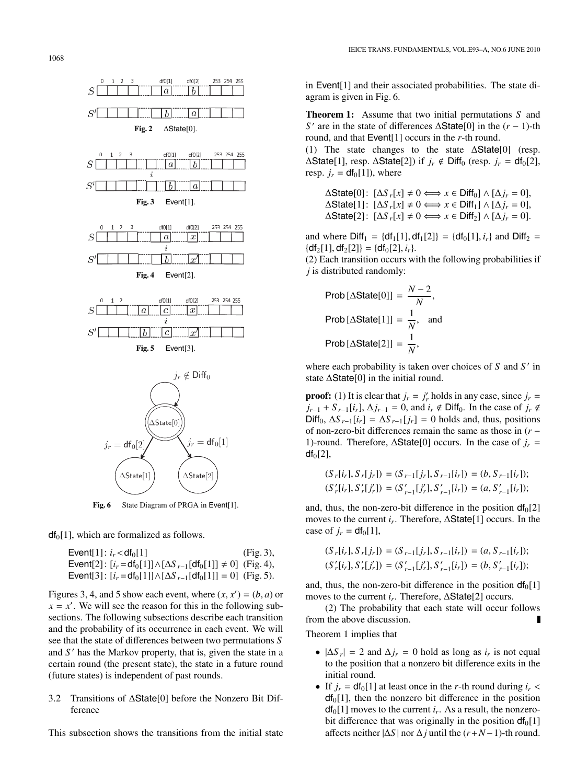1068



Fig. 6 State Diagram of PRGA in Event[1].

 $df<sub>0</sub>[1]$ , which are formalized as follows.

 $Event[1]: i_r < df_0[1]$  (Fig. 3),  $\text{Event}[2] : [i_r = df_0[1]] \wedge [\Delta S_{r-1}[df_0[1]] \neq 0]$  (Fig. 4), Event[3]:  $[i_r = df_0[1]] \wedge [\Delta S_{r-1}[df_0[1]] = 0]$  (Fig. 5).

Figures 3, 4, and 5 show each event, where  $(x, x') = (b, a)$  or  $x = x'$ . We will see the reason for this in the following subsections. The following subsections describe each transition and the probability of its occurrence in each event. We will see that the state of differences between two permutations *S* and *S'* has the Markov property, that is, given the state in a certain round (the present state), the state in a future round (future states) is independent of past rounds.

# 3.2 Transitions of ΔState[0] before the Nonzero Bit Difference

This subsection shows the transitions from the initial state

in Event[1] and their associated probabilities. The state diagram is given in Fig. 6.

**Theorem 1:** Assume that two initial permutations *S* and *S*<sup>*'*</sup> are in the state of differences ∆State[0] in the  $(r − 1)$ -th round, and that Event[1] occurs in the *r*-th round.

(1) The state changes to the state  $\Delta$ State[0] (resp.  $\Delta$ State[1], resp.  $\Delta$ State[2]) if  $j_r \notin \text{Diff}_0$  (resp.  $j_r = df_0[2]$ , resp.  $j_r = df_0[1]$ , where

 $\Delta$ State[0]:  $[\Delta S_r[x] \neq 0 \Longleftrightarrow x \in \text{Diff}_0] \wedge [\Delta j_r = 0],$  $\Delta$ State[1]:  $[\Delta S_r[x] \neq 0 \Longleftrightarrow x \in \text{Diff}_1] \wedge [\Delta j_r = 0],$  $\Delta$ State[2]:  $[\Delta S_r[x] \neq 0 \Longleftrightarrow x \in \text{Diff}_2] \wedge [\Delta j_r = 0].$ 

and where  $Diff_1 = \{df_1[1], df_1[2]\} = \{df_0[1], i_r\}$  and  $Diff_2 =$  ${df_2[1], df_2[2]} = {df_0[2], i_r}.$ 

(2) Each transition occurs with the following probabilities if *j* is distributed randomly:

Prob [
$$
\triangle
$$
State[0]] =  $\frac{N-2}{N}$ ,  
Prob [ $\triangle$ State[1]] =  $\frac{1}{N}$ , and  
Prob [ $\triangle$ State[2]] =  $\frac{1}{N}$ ,

where each probability is taken over choices of *S* and *S* in state ΔState[0] in the initial round.

**proof:** (1) It is clear that  $j_r = j'_r$  holds in any case, since  $j_r =$  $j_{r-1}$  + *S*  $_{r-1}[i_r]$ ,  $\Delta j_{r-1} = 0$ , and  $i_r \notin \text{Diff}_0$ . In the case of  $j_r \notin$ Diff<sub>0</sub>,  $\Delta S$ <sub>*r*−1</sub>[*i<sub>r</sub>*] =  $\Delta S$ <sub>*r*−1</sub>[*j<sub>r</sub>*] = 0 holds and, thus, positions of non-zero-bit differences remain the same as those in (*r* − 1)-round. Therefore,  $\Delta$ State[0] occurs. In the case of  $j_r =$  $df<sub>0</sub>[2]$ ,

$$
(S_r[i_r], S_r[j_r]) = (S_{r-1}[j_r], S_{r-1}[i_r]) = (b, S_{r-1}[i_r]);
$$
  
\n
$$
(S'_r[i_r], S'_r[j'_r]) = (S'_{r-1}[j'_r], S'_{r-1}[i_r]) = (a, S'_{r-1}[i_r]);
$$

and, thus, the non-zero-bit difference in the position  $df_0[2]$ moves to the current *ir*. Therefore, ΔState[1] occurs. In the case of  $j_r = df_0[1]$ ,

$$
(S_r[i_r], S_r[j_r]) = (S_{r-1}[j_r], S_{r-1}[i_r]) = (a, S_{r-1}[i_r]);
$$
  
\n
$$
(S'_r[i_r], S'_r[j'_r]) = (S'_{r-1}[j'_r], S'_{r-1}[i_r]) = (b, S'_{r-1}[i_r]);
$$

and, thus, the non-zero-bit difference in the position  $df_0[1]$ moves to the current *ir*. Therefore, ΔState[2] occurs.

(2) The probability that each state will occur follows from the above discussion. П

Theorem 1 implies that

- $|\Delta S_r| = 2$  and  $\Delta j_r = 0$  hold as long as  $i_r$  is not equal to the position that a nonzero bit difference exits in the initial round.
- If  $j_r = df_0[1]$  at least once in the *r*-th round during  $i_r <$  $df<sub>0</sub>[1]$ , then the nonzero bit difference in the position  $df_0[1]$  moves to the current  $i_r$ . As a result, the nonzerobit difference that was originally in the position  $df_0[1]$ affects neither  $|\Delta S|$  nor  $\Delta j$  until the  $(r+N-1)$ -th round.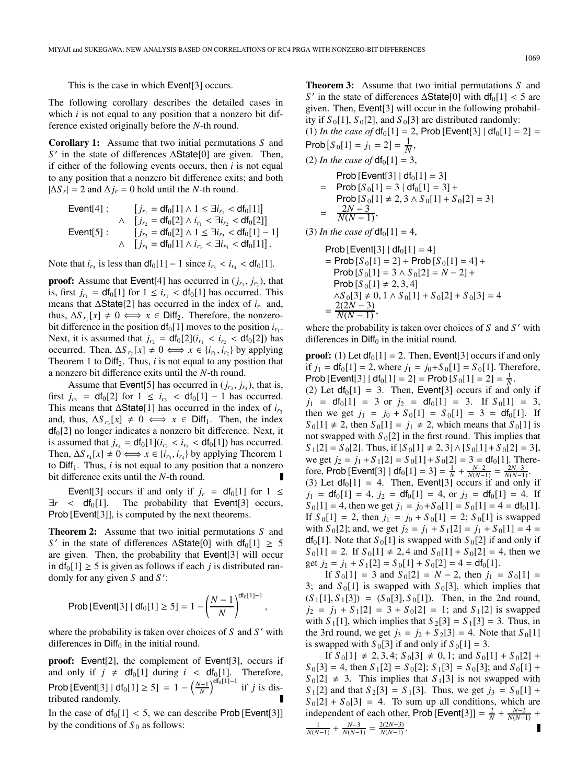This is the case in which Event[3] occurs.

The following corollary describes the detailed cases in which *i* is not equal to any position that a nonzero bit difference existed originally before the *N*-th round.

**Corollary 1:** Assume that two initial permutations *S* and *S* in the state of differences ΔState[0] are given. Then, if either of the following events occurs, then *i* is not equal to any position that a nonzero bit difference exits; and both  $|\Delta S_r| = 2$  and  $\Delta j_r = 0$  hold until the *N*-th round.

| Event[4]: | \n $\begin{aligned}\n &\left[ j_{r_1} = \text{df}_0[1] \land 1 \leq \exists i_{r_1} < \text{df}_0[1] \right] \\ &\quad \land \quad \left[ j_{r_2} = \text{df}_0[2] \land i_{r_1} < \exists i_{r_2} < \text{df}_0[2] \right] \\ &\left[ j_{r_3} = \text{df}_0[2] \land 1 \leq \exists i_{r_3} < \text{df}_0[1] - 1 \right] \\ &\quad \land \quad \left[ j_{r_4} = \text{df}_0[1] \land i_{r_3} < \exists i_{r_4} < \text{df}_0[1] \right].\n \end{aligned}$ \n |
|-----------|---------------------------------------------------------------------------------------------------------------------------------------------------------------------------------------------------------------------------------------------------------------------------------------------------------------------------------------------------------------------------------------------------------------------------------------------------------------|
|-----------|---------------------------------------------------------------------------------------------------------------------------------------------------------------------------------------------------------------------------------------------------------------------------------------------------------------------------------------------------------------------------------------------------------------------------------------------------------------|

Note that  $i_{r_3}$  is less than  $df_0[1] - 1$  since  $i_{r_3} < i_{r_4} < df_0[1]$ .

**proof:** Assume that Event[4] has occurred in  $(j_{r_1}, j_{r_2})$ , that is, first  $j_{r_1} = df_0[1]$  for  $1 \le i_{r_1} < df_0[1]$  has occurred. This means that  $\Delta$ State<sup>[2]</sup> has occurred in the index of  $i_{r_1}$  and, thus,  $\Delta S_{r_1}[x] \neq 0 \iff x \in \text{Diff}_2$ . Therefore, the nonzerobit difference in the position  $df_0[1]$  moves to the position  $i_{r_1}$ . Next, it is assumed that  $j_{r_2} = df_0[2](i_{r_1} < i_{r_2} < df_0[2])$  has occurred. Then,  $\Delta S_{r_2}[x] \neq 0 \iff x \in \{i_{r_1}, i_{r_2}\}$  by applying Theorem 1 to  $Diff_2$ . Thus,  $i$  is not equal to any position that a nonzero bit difference exits until the *N*-th round.

Assume that Event<sup>[5]</sup> has occurred in  $(i_r, i_{r_1})$ , that is, first  $j_{r_3} = df_0[2]$  for  $1 \le i_{r_3} < df_0[1] - 1$  has occurred. This means that  $\Delta$ State[1] has occurred in the index of  $i_{r_3}$ and, thus,  $\Delta S_{r_3}[x] \neq 0 \iff x \in \text{Diff}_1$ . Then, the index  $df<sub>0</sub>[2]$  no longer indicates a nonzero bit difference. Next, it is assumed that  $j_{r_4} = df_0[1](i_{r_3} < i_{r_4} < df_0[1])$  has occurred. Then,  $\Delta S_{r_4}[x] \neq 0 \Longleftrightarrow x \in \{i_{r_3}, i_{r_4}\}$  by applying Theorem 1 to  $Diff<sub>1</sub>$ . Thus, *i* is not equal to any position that a nonzero bit difference exits until the *N*-th round.

Event[3] occurs if and only if  $j_r = df_0[1]$  for  $1 \le$  $\exists r \leq df_0[1]$ . The probability that Event[3] occurs, Prob [Event[3]], is computed by the next theorems.

**Theorem 2:** Assume that two initial permutations *S* and *S*' in the state of differences  $\Delta$ State[0] with  $df_0[1] \geq 5$ are given. Then, the probability that Event[3] will occur in  $df_0[1] \ge 5$  is given as follows if each *j* is distributed randomly for any given *S* and *S* :

Prob [Event[3] | df<sub>0</sub>[1] 
$$
\geq 5
$$
] = 1 -  $\left(\frac{N-1}{N}\right)^{df_0[1]-1}$ ,

where the probability is taken over choices of *S* and *S'* with differences in  $Diff<sub>0</sub>$  in the initial round.

**proof:** Event[2], the complement of Event[3], occurs if and only if  $j \neq \text{df}_0[1]$  during  $i < \text{df}_0[1]$ . Therefore, Prob [Event[3] |  $df_0[1] \ge 5$ ] = 1 –  $\left(\frac{N-1}{N}\right)^{df_0[1]-1}$  if *j* is distributed randomly.

In the case of  $df_0[1] < 5$ , we can describe Prob [Event[3]] by the conditions of  $S_0$  as follows:

**Theorem 3:** Assume that two initial permutations *S* and *S'* in the state of differences  $\Delta$ State[0] with  $df_0[1] < 5$  are given. Then, Event[3] will occur in the following probability if  $S_0[1]$ ,  $S_0[2]$ , and  $S_0[3]$  are distributed randomly: (1) *In the case of*  $df_0[1] = 2$ , Prob [Event[3]  $| df_0[1] = 2$ ] = Prob  $[S_0[1] = j_1 = 2] = \frac{1}{N}$ , (2) *In the case of*  $df_0[1] = 3$ , Prob [Event[3] |  $df_0[1] = 3$ ]  $=$  Prob  $[S_0[1] = 3 | df_0[1] = 3] +$  $Prob[S_0[1] \neq 2, 3 \wedge S_0[1] + S_0[2] = 3]$  $=\frac{2N-3}{N(N-1)},$ (3) *In the case of*  $df_0[1] = 4$ , Prob [Event[3]  $| df_0[1] = 4$ ]

= Prob 
$$
[S_0[1] = 2]
$$
 + Prob  $[S_0[1] = 4]$  +  
\nProb  $[S_0[1] = 3 \land S_0[2] = N - 2]$  +  
\nProb  $[S_0[1] \neq 2, 3, 4]$   
\n $\land S_0[3] \neq 0, 1 \land S_0[1] + S_0[2] + S_0[3] = 4$   
\n $= \frac{2(2N - 3)}{N(N - 1)},$ 

where the probability is taken over choices of  $S$  and  $S'$  with differences in  $Diff<sub>0</sub>$  in the initial round.

**proof:** (1) Let  $df_0[1] = 2$ . Then, Event[3] occurs if and only if  $j_1 = df_0[1] = 2$ , where  $j_1 = j_0 + S_0[1] = S_0[1]$ . Therefore, Prob [Event[3] |  $df_0[1] = 2$ ] = Prob  $[S_0[1] = 2] = \frac{1}{N}$ .

(2) Let  $df_0[1] = 3$ . Then, Event[3] occurs if and only if  $j_1 = df_0[1] = 3$  or  $j_2 = df_0[1] = 3$ . If  $S_0[1] = 3$ , then we get  $j_1 = j_0 + S_0[1] = S_0[1] = 3 = df_0[1]$ . If  $S_0[1] \neq 2$ , then  $S_0[1] = j_1 \neq 2$ , which means that  $S_0[1]$  is not swapped with  $S_0[2]$  in the first round. This implies that  $S_1[2] = S_0[2]$ . Thus, if  $[S_0[1] \neq 2, 3] \wedge [S_0[1] + S_0[2] = 3]$ , we get  $j_2 = j_1 + S_1[2] = S_0[1] + S_0[2] = 3 = df_0[1]$ . Therefore, Prob [Event[3] | df<sub>0</sub>[1] = 3] =  $\frac{1}{N} + \frac{N-2}{N(N-1)} = \frac{2N-3}{N(N-1)}$ . (3) Let  $df_0[1] = 4$ . Then, Event[3] occurs if and only if  $j_1 = df_0[1] = 4$ ,  $j_2 = df_0[1] = 4$ , or  $j_3 = df_0[1] = 4$ . If  $S_0[1] = 4$ , then we get  $j_1 = j_0 + S_0[1] = S_0[1] = 4 = df_0[1]$ . If  $S_0[1] = 2$ , then  $j_1 = j_0 + S_0[1] = 2$ ;  $S_0[1]$  is swapped with *S*<sub>0</sub>[2]; and, we get  $j_2 = j_1 + S_1[2] = j_1 + S_0[1] = 4 =$  $df_0[1]$ . Note that  $S_0[1]$  is swapped with  $S_0[2]$  if and only if  $S_0[1] = 2$ . If  $S_0[1] \neq 2, 4$  and  $S_0[1] + S_0[2] = 4$ , then we get  $j_2 = j_1 + S_1[2] = S_0[1] + S_0[2] = 4 = df_0[1]$ .

If  $S_0[1] = 3$  and  $S_0[2] = N - 2$ , then  $j_1 = S_0[1] =$ 3; and  $S_0[1]$  is swapped with  $S_0[3]$ , which implies that  $(S_1[1], S_1[3]) = (S_0[3], S_0[1])$ . Then, in the 2nd round,  $j_2 = j_1 + S_1[2] = 3 + S_0[2] = 1$ ; and  $S_1[2]$  is swapped with  $S_1[1]$ , which implies that  $S_2[3] = S_1[3] = 3$ . Thus, in the 3rd round, we get  $j_3 = j_2 + S_2[3] = 4$ . Note that  $S_0[1]$ is swapped with  $S_0[3]$  if and only if  $S_0[1] = 3$ .

If  $S_0[1] \neq 2, 3, 4$ ;  $S_0[3] \neq 0, 1$ ; and  $S_0[1] + S_0[2] +$  $S_0[3] = 4$ , then  $S_1[2] = S_0[2]$ ;  $S_1[3] = S_0[3]$ ; and  $S_0[1]$  +  $S_0[2] \neq 3$ . This implies that  $S_1[3]$  is not swapped with  $S_1[2]$  and that  $S_2[3] = S_1[3]$ . Thus, we get  $j_3 = S_0[1] +$  $S_0[2] + S_0[3] = 4$ . To sum up all conditions, which are independent of each other, Prob [Event[3]] =  $\frac{2}{N} + \frac{N-2}{N(N-1)}$  +  $\frac{1}{N(N-1)} + \frac{N-3}{N(N-1)} = \frac{2(2N-3)}{N(N-1)}$ . П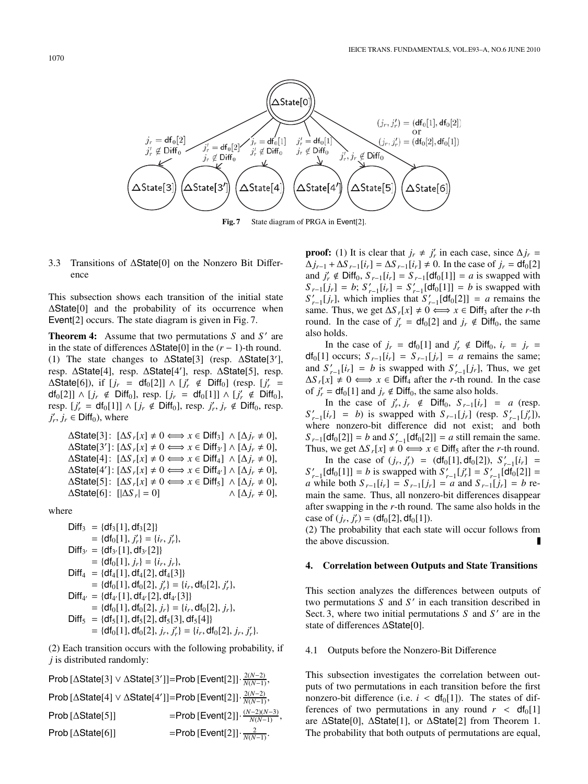

Fig. 7 State diagram of PRGA in Event<sup>[2]</sup>.

## 3.3 Transitions of ΔState[0] on the Nonzero Bit Difference

This subsection shows each transition of the initial state ΔState[0] and the probability of its occurrence when Event<sup>[2]</sup> occurs. The state diagram is given in Fig. 7.

**Theorem 4:** Assume that two permutations *S* and *S'* are in the state of differences  $\Delta$ State[0] in the  $(r - 1)$ -th round. (1) The state changes to  $\Delta$ State[3] (resp.  $\Delta$ State[3'], resp. ΔState[4], resp. ΔState[4 ], resp. ΔState[5], resp.  $\Delta$ State[6]), if  $[j_r = df_0[2]] \wedge [j'_r \notin Diff_0]$  (resp.  $[j'_r =$  $df_0[2]] \wedge [j_r \notin \text{Diff}_0], \text{ resp. } [j_r = df_0[1]] \wedge [j'_r \notin \text{Diff}_0],$ resp.  $[j'_r = df_0[1]] \wedge [j_r \notin \text{Diff}_0]$ , resp.  $j'_r, j_r \notin \text{Diff}_0$ , resp.  $j'_r, j_r \in \text{Diff}_0$ , where

 $\Delta$ State[3]:  $[\Delta S_r[x] \neq 0 \Longleftrightarrow x \in \text{Diff}_3] \land [\Delta j_r \neq 0],$  $\Delta$ State[3']:  $[\Delta S_r[x] \neq 0 \Longleftrightarrow x \in \text{Diff}_{3'}] \wedge [\Delta j_r \neq 0],$  $\Delta$ State[4]:  $[\Delta S_r[x] \neq 0 \Longleftrightarrow x \in \text{Diff}_4] \wedge [\Delta j_r \neq 0],$  $\Delta$ State[4']:  $[\Delta S_r[x] \neq 0 \Longleftrightarrow x \in \text{Diff}_{4'}] \wedge [\Delta j_r \neq 0],$  $\Delta$ State[5]:  $[\Delta S_r[x] \neq 0 \Longleftrightarrow x \in \text{Diff}_5] \land [\Delta j_r \neq 0],$  $\Delta$ **State**[6]:  $\left[\Delta S_r\right] = 0$ ]  $\wedge$  [ $\Delta i_r \neq 0$ ],

where

$$
Diff_{3} = {df_{3}[1], df_{3}[2]}
$$
\n
$$
= {df_{0}[1], j'_{r}} = {i_{r}, j'_{r}},
$$
\n
$$
Diff_{3'} = {df_{3'}[1], df_{3'}[2]}
$$
\n
$$
= {df_{0}[1], j_{r}} = {i_{r}, j_{r}},
$$
\n
$$
Diff_{4} = {df_{4}[1], df_{4}[2], df_{4}[3]}
$$
\n
$$
= {df_{0}[1], df_{0}[2], j'_{r}} = {i_{r}, df_{0}[2], j'_{r}},
$$
\n
$$
Diff_{4'} = {df_{4'}[1], df_{4'}[2], df_{4'}[3]}
$$
\n
$$
= {df_{0}[1], df_{0}[2], j_{r}} = {i_{r}, df_{0}[2], j_{r}},
$$
\n
$$
Diff_{5} = {df_{5}[1], df_{5}[2], df_{5}[3], df_{5}[4]}
$$
\n
$$
= {df_{0}[1], df_{0}[2], j_{r}, j'_{r}} = {i_{r}, df_{0}[2], j_{r}, j'}
$$

(2) Each transition occurs with the following probability, if *j* is distributed randomly:

*r*}.

Prob [ΔState[3] ∨ ΔState[3 ]]=Prob [Event[2]]· 2(*N*−2) *<sup>N</sup>*(*N*−1), Prob [ΔState[4] ∨ ΔState[4 ]]=Prob [Event[2]]· 2(*N*−2) *<sup>N</sup>*(*N*−1),  $\text{Prob} \left[ \Delta \text{State}[5] \right]$  =Prob  $\left[ \text{Event}[2] \right] \cdot \frac{(N-2)(N-3)}{N(N-1)}$ ,  $Prob [\triangle State[6]]$  =Prob  $[Event[2]] \cdot \frac{2}{N(N-1)}$ .

**proof:** (1) It is clear that  $j_r \neq j'_r$  in each case, since  $\Delta j_r =$  $\Delta j_{r-1} + \Delta S_{r-1}[i_r] = \Delta S_{r-1}[i_r] \neq 0$ . In the case of  $j_r = df_0[2]$ and  $j'_r$  ∉ Diff<sub>0</sub>,  $S_{r-1}[i_r] = S_{r-1}[df_0[1]] = a$  is swapped with  $S_{r-1}[j_r] = b; S'_{r-1}[i_r] = S'_{r-1}[df_0[1]] = b$  is swapped with  $S'_{r-1}[j_r]$ , which implies that  $S'_{r-1}[df_0[2]] = a$  remains the same. Thus, we get  $\Delta S_r[x] \neq 0 \Longleftrightarrow x \in \text{Diff}_3$  after the *r*-th round. In the case of  $j'_r = df_0[2]$  and  $j_r \notin \text{Diff}_0$ , the same also holds.

In the case of  $j_r = df_0[1]$  and  $j'_r \notin \text{Diff}_0$ ,  $i_r = j_r =$  $df_0[1]$  occurs;  $S_{r-1}[i_r] = S_{r-1}[j_r] = a$  remains the same; and  $S'_{r-1}[i_r] = b$  is swapped with  $S'_{r-1}[j_r]$ , Thus, we get  $\Delta S_r[x] \neq 0 \Longleftrightarrow x \in \text{Diff}_4$  after the *r*-th round. In the case of  $j'_r = df_0[1]$  and  $j_r \notin \text{Diff}_0$ , the same also holds.

In the case of  $j'_r, j_r \notin \text{Diff}_0, S_{r-1}[i_r] = a$  (resp.  $S'_{r-1}[i_r] = b$  is swapped with  $S_{r-1}[j_r]$  (resp.  $S'_{r-1}[j'_r]$ ), where nonzero-bit difference did not exist; and both  $S_{r-1}[df_0[2]] = b$  and  $S'_{r-1}[df_0[2]] = a$  still remain the same. Thus, we get  $\Delta S_r[x] \neq 0 \Longleftrightarrow x \in \text{Diff}_5$  after the *r*-th round.

In the case of  $(j_r, j'_r) = (df_0[1], df_0[2]), S'_{r-1}[i_r] =$  $S'_{r-1}[df_0[1]] = b$  is swapped with  $S'_{r-1}[j'_r] = S'_{r-1}[df_0[2]] =$  $a$  while both  $S_{r-1}[i_r] = S_{r-1}[j_r] = a$  and  $S_{r-1}[j_r] = b$  remain the same. Thus, all nonzero-bit differences disappear after swapping in the *r*-th round. The same also holds in the case of  $(j_r, j'_r) = (df_0[2], df_0[1]).$ 

(2) The probability that each state will occur follows from the above discussion.

# **4. Correlation between Outputs and State Transitions**

This section analyzes the differences between outputs of two permutations *S* and *S'* in each transition described in Sect. 3, where two initial permutations *S* and *S'* are in the state of differences ΔState[0].

# 4.1 Outputs before the Nonzero-Bit Difference

This subsection investigates the correlation between outputs of two permutations in each transition before the first nonzero-bit difference (i.e.  $i < df_0[1]$ ). The states of differences of two permutations in any round  $r < df_0[1]$ are ΔState[0], ΔState[1], or ΔState[2] from Theorem 1. The probability that both outputs of permutations are equal,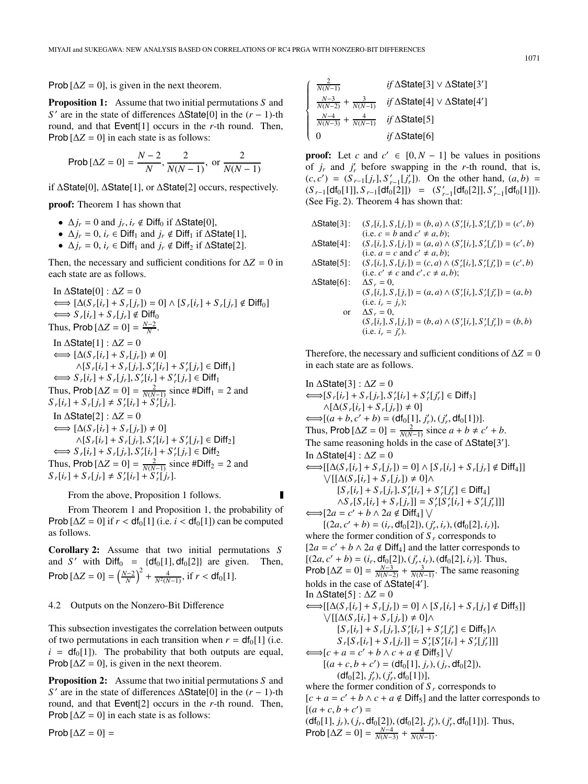$\sqrt{ }$  $\bigg\}$ 

⎪⎪⎪⎪⎪⎪⎪⎪⎪⎩

Prob  $[\Delta Z = 0]$ , is given in the next theorem.

**Proposition 1:** Assume that two initial permutations *S* and *S*<sup> $′$ </sup> are in the state of differences ΔState[0] in the (*r* − 1)-th round, and that Event[1] occurs in the *r*-th round. Then, Prob  $[\Delta Z = 0]$  in each state is as follows:

Prob 
$$
[ \Delta Z = 0 ] = \frac{N-2}{N}, \frac{2}{N(N-1)}, \text{ or } \frac{2}{N(N-1)}
$$

if ΔState[0], ΔState[1], or ΔState[2] occurs, respectively.

**proof:** Theorem 1 has shown that

- $\Delta j_r = 0$  and  $j_r, i_r \notin \text{Diff}_0$  if  $\Delta \text{State}[0]$ ,
- $\Delta j_r = 0$ ,  $i_r \in \text{Diff}_1$  and  $j_r \notin \text{Diff}_1$  if  $\Delta \text{State}[1]$ ,
- $\Delta j_r = 0$ ,  $i_r \in \text{Diff}_1$  and  $j_r \notin \text{Diff}_2$  if  $\Delta \text{State}[2]$ .

Then, the necessary and sufficient conditions for  $\Delta Z = 0$  in each state are as follows.

In 
$$
\triangle
$$
State[0] :  $\triangle Z = 0$   
\n $\Leftrightarrow [\triangle(S_r[i_r] + S_r[j_r]) = 0] \wedge [S_r[i_r] + S_r[j_r] \notin \text{Diff}_0]$   
\n $\Leftrightarrow S_r[i_r] + S_r[j_r] \notin \text{Diff}_0$   
\nThus, Prob $[\triangle Z = 0] = \frac{N-2}{N}$ .  
\nIn  $\triangle$ State[1] :  $\triangle Z = 0$   
\n $\Leftrightarrow [\triangle(S_r[i_r] + S_r[j_r]) \neq 0]$   
\n $\wedge [S_r[i_r] + S_r[j_r], S'_r[i_r] + S'_r[j_r] \in \text{Diff}_1]$   
\n $\Leftrightarrow S_r[i_r] + S_r[j_r], S'_r[i_r] + S'_r[j_r] \in \text{Diff}_1$   
\nThus, Prob $[\triangle Z = 0] = \frac{2}{N(N-1)}$  since #Diff $1 = 2$  and  
\n $S_r[i_r] + S_r[j_r] \neq S'_r[i_r] + S'_r[j_r]$ .  
\nIn  $\triangle$ State[2] :  $\triangle Z = 0$   
\n $\Leftrightarrow [\triangle(S_r[i_r] + S_r[j_r]) \neq 0]$   
\n $\wedge [S_r[i_r] + S_r[j_r], S'_r[i_r] + S'_r[j_r] \in \text{Diff}_2]$   
\n $\Leftrightarrow S_r[i_r] + S_r[j_r], S'_r[i_r] + S'_r[j_r] \in \text{Diff}_2$   
\nThus, Prob $[\triangle Z = 0] = \frac{2}{N(N-1)}$  since #Diff $2 = 2$  and  
\n $S_r[i_r] + S_r[j_r] \neq S'_r[i_r] + S'_r[j_r]$ .

From the above, Proposition 1 follows.

From Theorem 1 and Proposition 1, the probability of Prob  $[\Delta Z = 0]$  if  $r < df_0[1]$  (i.e.  $i < df_0[1]$ ) can be computed as follows.

**Corollary 2:** Assume that two initial permutations *S* and *S'* with  $Diff_0 = {df_0[1], df_0[2]}$  are given. Then, Prob  $[\Delta Z = 0] = \left(\frac{N-2}{N}\right)^2 + \frac{4}{N^2(N-1)}$ , if  $r < df_0[1]$ .

#### 4.2 Outputs on the Nonzero-Bit Difference

This subsection investigates the correlation between outputs of two permutations in each transition when  $r = df_0[1]$  (i.e.  $i = df<sub>0</sub>[1]$ . The probability that both outputs are equal, Prob  $[\Delta Z = 0]$ , is given in the next theorem.

**Proposition 2:** Assume that two initial permutations S and *S*<sup> $′$ </sup> are in the state of differences ΔState[0] in the (*r* − 1)-th round, and that Event[2] occurs in the *r*-th round. Then, Prob  $[\Delta Z = 0]$  in each state is as follows:

Prob  $[\Delta Z = 0]$  =

$$
\frac{2}{N(N-1)}
$$
 if  $\triangle$  State[3]  $\vee$   $\triangle$  State[3']  
\n
$$
\frac{N-3}{N(N-2)} + \frac{3}{N(N-1)}
$$
 if  $\triangle$  State[4]  $\vee$   $\triangle$  State[4']  
\n
$$
\frac{N-4}{N(N-3)} + \frac{4}{N(N-1)}
$$
 if  $\triangle$  State[5]  
\n0 if  $\triangle$  State[6]

**proof:** Let *c* and  $c' \in [0, N - 1]$  be values in positions of  $j_r$  and  $j'_r$  before swapping in the *r*-th round, that is,  $(c, c') = (S_{r-1}[j_r], S'_{r-1}[j'_r])$ . On the other hand,  $(a, b)$  $(S_{r-1}[\text{df}_0[1]], S_{r-1}[\text{df}_0[2]]) = (S'_{r-1}[\text{df}_0[2]], S'_{r-1}[\text{df}_0[1]]).$ (See Fig. 2). Theorem 4 has shown that:

| ∆State[3]: | $(S_r[i_r], S_r[j_r]) = (b, a) \wedge (S'_r[i_r], S'_r[j'_r]) = (c', b)$ |
|------------|--------------------------------------------------------------------------|
|            | (i.e. $c = b$ and $c' \neq a, b$ );                                      |
| ∆State[4]: | $(S_r[i_r], S_r[j_r]) = (a, a) \wedge (S'_r[i_r], S'_r[j'_r]) = (c', b)$ |
|            | (i.e. $a = c$ and $c' \neq a, b$ );                                      |
| ∆State[5]: | $(S_r[i_r], S_r[j_r]) = (c, a) \wedge (S'_r[i_r], S'_r[j'_r]) = (c', b)$ |
|            | (i.e. $c' \neq c$ and $c', c \neq a, b$ );                               |
| ∆State[6]: | $\Delta S_r = 0$ .                                                       |
|            | $(S_r[i_r], S_r[j_r]) = (a, a) \wedge (S'_r[i_r], S'_r[j'_r]) = (a, b)$  |
|            | (i.e. $i_r = j_r$ );                                                     |
| <b>or</b>  | $\Delta S_r = 0$ ,                                                       |
|            | $(S_r[i_r], S_r[j_r]) = (b, a) \wedge (S'_r[i_r], S'_r[j'_r]) = (b, b)$  |
|            | (i.e. $i_r = j'_r$ ).                                                    |
|            |                                                                          |

Therefore, the necessary and sufficient conditions of  $\Delta Z = 0$ in each state are as follows.

In  $\Delta$ State[3] :  $\Delta Z = 0$  $\Longleftrightarrow$   $[S_r[i_r] + S_r[j_r], S'_r[i_r] + S'_r[j'_r] \in \text{Diff}_3]$  $\wedge [\Delta(S_r[i_r] + S_r[j_r]) \neq 0]$  $\Longleftrightarrow [(a+b, c'+b) = (\text{df}_0[1], j'_r), (j'_r, \text{df}_0[1])].$ Thus, Prob  $[\Delta Z = 0] = \frac{2}{N(N-1)}$  since  $a + b \neq c' + b$ . The same reasoning holds in the case of  $\Delta$ State[3']. In  $ΔState[4]$  :  $ΔZ = 0$  $\Longleftrightarrow$  [[ $\Delta(S_r[i_r] + S_r[j_r]) = 0$ ] ∧ [ $S_r[i_r] + S_r[j_r] \notin \text{Diff}_4$ ]]  $\bigvee$ [[ $\Delta(S_r[i_r] + S_r[j_r]) \neq 0$ ]∧  $[S_r[i_r] + S_r[j_r], S'_r[i_r] + S'_r[j'_r] \in \text{Diff}_4]$  $\wedge S_r[S_r[i_r] + S_r[j_r]] = S'_r[S'_r[i_r] + S'_r[j'_r]]$  $\Longleftrightarrow$ [2*a* = *c'* + *b* ∧ 2*a* ∉ Diff<sub>4</sub>]  $\lor$  $[(2a, c' + b) = (i_r, df_0[2]), (j'_r, i_r), (df_0[2], i_r)],$ where the former condition of  $S_r$  corresponds to  $[2a = c' + b \wedge 2a \notin \text{Diff}_4]$  and the latter corresponds to  $[(2a, c' + b) = (i_r, df_0[2]), (j'_r, i_r), (df_0[2], i_r)].$  Thus, Prob  $[\Delta Z = 0] = \frac{N-3}{N(N-2)} + \frac{3}{N(N-1)}$ . The same reasoning holds in the case of ΔState[4 ]. In  $\Delta$ State[5] :  $\Delta Z = 0$  $\Longleftrightarrow$ [[ $\Delta(S_r[i_r] + S_r[j_r]) = 0$ ] ∧ [ $S_r[i_r] + S_r[j_r] \notin \text{Diff}_5$ ]]  $\bigvee$ [[ $\Delta(S_r[i_r] + S_r[j_r]) \neq 0$ ]∧  $[S_r[i_r] + S_r[j_r], S'_r[i_r] + S'_r[j'_r] \in \text{Diff}_5] \wedge$  $S_r[S_r[i_r] + S_r[j_r]] = S'_r[S'_r[i_r] + S'_r[j'_r]]$  $\Longleftrightarrow$   $[c + a = c' + b \land c + a \notin \text{Diff}_5] \setminus$  $[(a + c, b + c') = (df_0[1], j_r), (j_r, df_0[2]),$  $(df<sub>0</sub>[2], j'<sub>r</sub>, (j'<sub>r</sub>, df<sub>0</sub>[1]),$ where the former condition of  $S_r$  corresponds to  $[c + a = c' + b \wedge c + a \notin \text{Diff}_5]$  and the latter corresponds to  $[(a + c, b + c')]$  $(df<sub>0</sub>[1], j<sub>r</sub>), (j<sub>r</sub>, df<sub>0</sub>[2]), (df<sub>0</sub>[2], j'<sub>r</sub>), (j'<sub>r</sub>, df<sub>0</sub>[1])]. Thus,$  $\text{Prob} [\Delta Z = 0] = \frac{N-4}{N(N-3)} + \frac{4}{N(N-1)}.$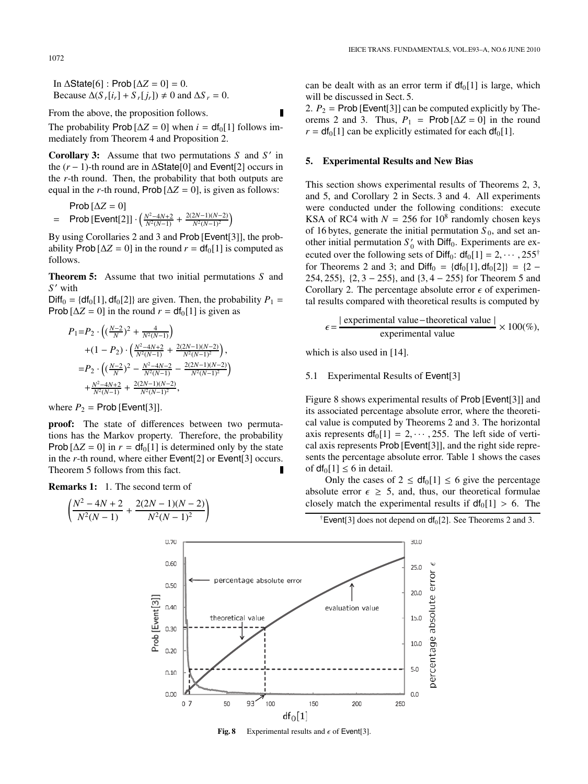In  $\Delta$ State[6] : Prob  $[\Delta Z = 0] = 0$ . Because  $\Delta(S_r[i_r] + S_r[j_r]) \neq 0$  and  $\Delta S_r = 0$ .

From the above, the proposition follows.

The probability Prob  $[\Delta Z = 0]$  when  $i = df_0[1]$  follows immediately from Theorem 4 and Proposition 2.

**Corollary 3:** Assume that two permutations *S* and *S* in the  $(r - 1)$ -th round are in  $\Delta$ State[0] and Event[2] occurs in the *r*-th round. Then, the probability that both outputs are equal in the *r*-th round, Prob  $[\Delta Z = 0]$ , is given as follows:

Prob [ΔZ = 0]  
= Prob [Event[2]] 
$$
\cdot \left( \frac{N^2 - 4N + 2}{N^2 (N-1)} + \frac{2(2N-1)(N-2)}{N^2 (N-1)^2} \right)
$$

By using Corollaries 2 and 3 and Prob [Event[3]], the probability Prob  $[\Delta Z = 0]$  in the round  $r = df_0[1]$  is computed as follows.

**Theorem 5:** Assume that two initial permutations *S* and *S* with

 $Diff_0 = \{df_0[1], df_0[2]\}$  are given. Then, the probability  $P_1 =$ Prob  $[\Delta Z = 0]$  in the round  $r = df_0[1]$  is given as

$$
P_1 = P_2 \cdot \left( \left( \frac{N-2}{N} \right)^2 + \frac{4}{N^2(N-1)} \right)
$$
  
+ 
$$
(1 - P_2) \cdot \left( \frac{N^2 - 4N + 2}{N^2(N-1)} + \frac{2(2N-1)(N-2)}{N^2(N-1)^2} \right),
$$
  
= 
$$
P_2 \cdot \left( \left( \frac{N-2}{N} \right)^2 - \frac{N^2 - 4N - 2}{N^2(N-1)} - \frac{2(2N-1)(N-2)}{N^2(N-1)^2} \right)
$$
  
+ 
$$
\frac{N^2 - 4N + 2}{N^2(N-1)} + \frac{2(2N-1)(N-2)}{N^2(N-1)^2},
$$

where  $P_2$  = Prob [Event[3]].

**proof:** The state of differences between two permutations has the Markov property. Therefore, the probability Prob  $[\Delta Z = 0]$  in  $r = df_0[1]$  is determined only by the state in the *r*-th round, where either Event<sup>[2]</sup> or Event<sup>[3]</sup> occurs. Theorem 5 follows from this fact.

0.70

0.60

0.50

 $0.40$ 

0.30

 $0.20$ 

 $0.10$ 

 $0.00$ 

 $0<sub>7</sub>$ 

Prob [Event[3]]

**Remarks 1:** 1. The second term of

$$
\left(\frac{N^2-4N+2}{N^2(N-1)}+\frac{2(2N-1)(N-2)}{N^2(N-1)^2}\right)
$$

can be dealt with as an error term if  $df_0[1]$  is large, which will be discussed in Sect. 5.

2.  $P_2$  = Prob [Event[3]] can be computed explicitly by Theorems 2 and 3. Thus,  $P_1$  = Prob  $[\Delta Z = 0]$  in the round  $r = df_0[1]$  can be explicitly estimated for each  $df_0[1]$ .

# **5. Experimental Results and New Bias**

This section shows experimental results of Theorems 2, 3, and 5, and Corollary 2 in Sects. 3 and 4. All experiments were conducted under the following conditions: execute KSA of RC4 with  $N = 256$  for 10<sup>8</sup> randomly chosen keys of 16 bytes, generate the initial permutation  $S_0$ , and set another initial permutation  $S'_0$  with Diff<sub>0</sub>. Experiments are executed over the following sets of Diff<sub>0</sub>:  $df_0[1] = 2, \cdots, 255^{\dagger}$ for Theorems 2 and 3; and Diff<sub>0</sub> = {df<sub>0</sub>[1], df<sub>0</sub>[2]} = {2 − 254, 255}, {2, 3 − 255}, and {3, 4 − 255} for Theorem 5 and Corollary 2. The percentage absolute error  $\epsilon$  of experimental results compared with theoretical results is computed by

$$
\epsilon = \frac{|\text{ experimental value} - \text{theoretical value}|}{\text{experimental value}} \times 100\%,
$$

which is also used in [14].

evaluation value

5.1 Experimental Results of Event[3]

Figure 8 shows experimental results of Prob [Event[3]] and its associated percentage absolute error, where the theoretical value is computed by Theorems 2 and 3. The horizontal axis represents  $df_0[1] = 2, \dots, 255$ . The left side of vertical axis represents Prob [Event[3]], and the right side represents the percentage absolute error. Table 1 shows the cases of  $df_0[1] \leq 6$  in detail.

Only the cases of  $2 \leq df_0[1] \leq 6$  give the percentage absolute error  $\epsilon \geq 5$ , and, thus, our theoretical formulae closely match the experimental results if  $df_0[1] > 6$ . The

30.0

 $25.0$ 

20.0

15.0

10.0

5.0

 $0.0$ 

250

 $\mathsf{`Event[3]}$  does not depend on  $df_0[2]$ . See Theorems 2 and 3.

percentage absolute error



percentage absolute error

theoretical value

**Fig. 8** Experimental results and  $\epsilon$  of Event<sup>[3]</sup>.

IEICE TRANS. FUNDAMENTALS, VOL.E93–A, NO.6 JUNE 2010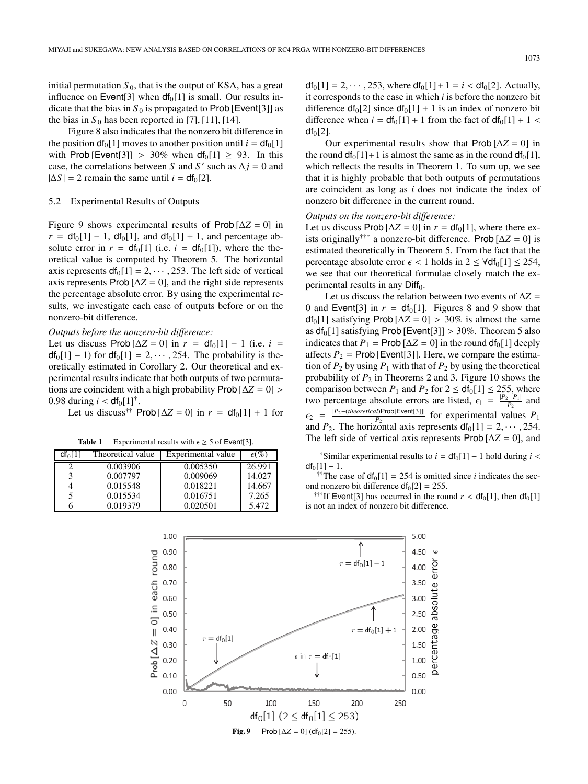initial permutation  $S_0$ , that is the output of KSA, has a great influence on Event<sup>[3]</sup> when  $df_0[1]$  is small. Our results indicate that the bias in  $S_0$  is propagated to Prob [Event[3]] as the bias in  $S_0$  has been reported in [7], [11], [14].

Figure 8 also indicates that the nonzero bit difference in the position  $df_0[1]$  moves to another position until  $i = df_0[1]$ with Prob [Event[3]] > 30% when  $df_0[1] \ge 93$ . In this case, the correlations between *S* and *S'* such as  $\Delta j = 0$  and  $|\Delta S| = 2$  remain the same until  $i = df_0[2]$ .

#### 5.2 Experimental Results of Outputs

Figure 9 shows experimental results of Prob  $[\Delta Z = 0]$  in  $r = df_0[1] - 1$ ,  $df_0[1]$ , and  $df_0[1] + 1$ , and percentage absolute error in  $r = df_0[1]$  (i.e.  $i = df_0[1]$ ), where the theoretical value is computed by Theorem 5. The horizontal axis represents  $df_0[1] = 2, \dots, 253$ . The left side of vertical axis represents Prob  $[\Delta Z = 0]$ , and the right side represents the percentage absolute error. By using the experimental results, we investigate each case of outputs before or on the nonzero-bit difference.

# *Outputs before the nonzero-bit di*ff*erence:*

Let us discuss Prob  $[\Delta Z = 0]$  in  $r = df_0[1] - 1$  (i.e.  $i =$  $df_0[1] - 1$ ) for  $df_0[1] = 2, \dots, 254$ . The probability is theoretically estimated in Corollary 2. Our theoretical and experimental results indicate that both outputs of two permutations are coincident with a high probability Prob [Δ*Z* = 0] > 0.98 during  $i < df_0[1]^{\dagger}$ .

Let us discuss<sup>††</sup> Prob  $[\Delta Z = 0]$  in  $r = df_0[1] + 1$  for

**Table 1** Experimental results with  $\epsilon \ge 5$  of Event[3].

| $df_0[1]$ | Theoretical value | Experimental value | $\epsilon$ (%) |
|-----------|-------------------|--------------------|----------------|
|           | 0.003906          | 0.005350           | 26.991         |
| 3         | 0.007797          | 0.009069           | 14.027         |
| 4         | 0.015548          | 0.018221           | 14.667         |
| 5         | 0.015534          | 0.016751           | 7.265          |
|           | 0.019379          | 0.020501           | 5.472          |

 $df_0[1] = 2, \dots, 253$ , where  $df_0[1] + 1 = i < df_0[2]$ . Actually, it corresponds to the case in which *i* is before the nonzero bit difference  $df_0[2]$  since  $df_0[1] + 1$  is an index of nonzero bit difference when  $i = df_0[1] + 1$  from the fact of  $df_0[1] + 1$  <  $df<sub>0</sub>[2]$ .

Our experimental results show that  $\text{Prob}[\Delta Z = 0]$  in the round  $df_0[1]+1$  is almost the same as in the round  $df_0[1]$ , which reflects the results in Theorem 1. To sum up, we see that it is highly probable that both outputs of permutations are coincident as long as *i* does not indicate the index of nonzero bit difference in the current round.

# *Outputs on the nonzero-bit di*ff*erence:*

Let us discuss Prob  $[\Delta Z = 0]$  in  $r = df_0[1]$ , where there exists originally<sup>†††</sup> a nonzero-bit difference. Prob  $[\Delta Z = 0]$  is estimated theoretically in Theorem 5. From the fact that the percentage absolute error  $\epsilon$  < 1 holds in 2 ≤  $\forall$ df<sub>0</sub>[1] ≤ 254, we see that our theoretical formulae closely match the experimental results in any  $Diff<sub>0</sub>$ .

Let us discuss the relation between two events of  $\Delta Z =$ 0 and Event<sup>[3]</sup> in  $r = df_0[1]$ . Figures 8 and 9 show that  $df_0[1]$  satisfying Prob  $[\Delta Z = 0] > 30\%$  is almost the same as  $df_0[1]$  satisfying Prob [Event[3]] > 30%. Theorem 5 also indicates that  $P_1$  = Prob  $[\Delta Z = 0]$  in the round  $df_0[1]$  deeply affects  $P_2$  = Prob [Event[3]]. Here, we compare the estimation of  $P_2$  by using  $P_1$  with that of  $P_2$  by using the theoretical probability of  $P_2$  in Theorems 2 and 3. Figure 10 shows the comparison between  $P_1$  and  $P_2$  for  $2 \leq df_0[1] \leq 255$ , where two percentage absolute errors are listed,  $\epsilon_1 = \frac{|P_2 - P_1|}{P_2}$  and  $\epsilon_2$  =  $\frac{|P_2-(theoretical)Prob[Event[3]]|}{P_2}$  for experimental values  $P_1$ and  $P_2$ . The horizontal axis represents  $df_0[1] = 2, \dots, 254$ . The left side of vertical axis represents Prob  $[\Delta Z = 0]$ , and

†Similar experimental results to  $i = df_0[1] - 1$  hold during  $i <$  $df_0[1] - 1.$ 

<sup>†</sup>The case of  $df_0[1] = 254$  is omitted since *i* indicates the second nonzero bit difference  $df_0[2] = 255$ .

<sup>†††</sup>If Event<sup>[3]</sup> has occurred in the round  $r < df_0[1]$ , then  $df_0[1]$ is not an index of nonzero bit difference.

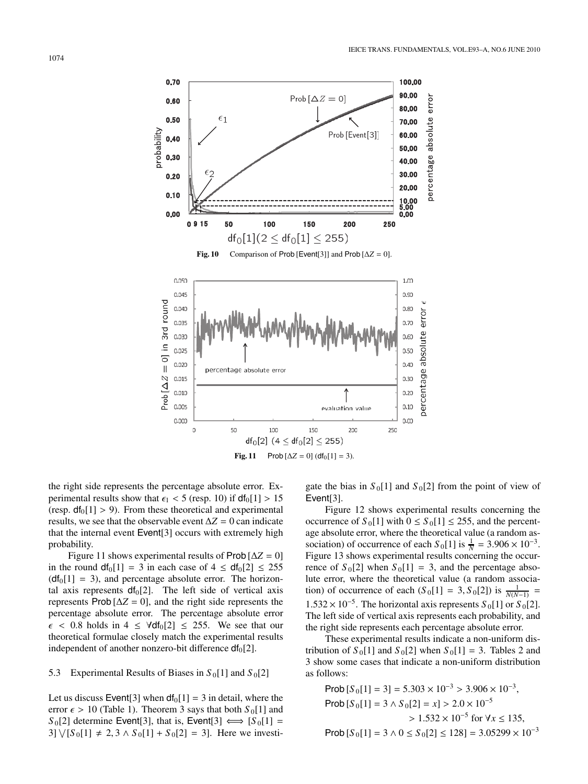

the right side represents the percentage absolute error. Experimental results show that  $\epsilon_1$  < 5 (resp. 10) if  $df_0[1] > 15$ (resp.  $df_0[1] > 9$ ). From these theoretical and experimental results, we see that the observable event  $\Delta Z = 0$  can indicate that the internal event Event[3] occurs with extremely high probability.

Figure 11 shows experimental results of Prob  $[\Delta Z = 0]$ in the round  $df_0[1] = 3$  in each case of  $4 \leq df_0[2] \leq 255$  $(d_i[1] = 3)$ , and percentage absolute error. The horizontal axis represents  $df_0[2]$ . The left side of vertical axis represents Prob  $[\Delta Z = 0]$ , and the right side represents the percentage absolute error. The percentage absolute error  $\epsilon$  < 0.8 holds in 4  $\leq$   $\forall$ df<sub>0</sub>[2]  $\leq$  255. We see that our theoretical formulae closely match the experimental results independent of another nonzero-bit difference  $df_0[2]$ .

#### 5.3 Experimental Results of Biases in  $S_0[1]$  and  $S_0[2]$

Let us discuss Event<sup>[3]</sup> when  $df_0[1] = 3$  in detail, where the error  $\epsilon > 10$  (Table 1). Theorem 3 says that both  $S_0[1]$  and  $S_0[2]$  determine Event[3], that is, Event[3]  $\iff [S_0[1] =$ 3]  $\sqrt{S_0[1]} \neq 2, 3 \wedge S_0[1] + S_0[2] = 3$ . Here we investigate the bias in  $S_0[1]$  and  $S_0[2]$  from the point of view of Event<sup>[3]</sup>.

Figure 12 shows experimental results concerning the occurrence of  $S_0[1]$  with  $0 \le S_0[1] \le 255$ , and the percentage absolute error, where the theoretical value (a random association) of occurrence of each  $S_0[1]$  is  $\frac{1}{N} = 3.906 \times 10^{-3}$ . Figure 13 shows experimental results concerning the occurrence of  $S_0[2]$  when  $S_0[1] = 3$ , and the percentage absolute error, where the theoretical value (a random association) of occurrence of each  $(S_0[1] = 3, S_0[2])$  is  $\frac{1}{N(N-1)} =$ 1.532 × 10<sup>-5</sup>. The horizontal axis represents  $S_0[1]$  or  $S_0[2]$ . The left side of vertical axis represents each probability, and the right side represents each percentage absolute error.

These experimental results indicate a non-uniform distribution of  $S_0[1]$  and  $S_0[2]$  when  $S_0[1] = 3$ . Tables 2 and 3 show some cases that indicate a non-uniform distribution as follows:

Prob 
$$
[S_0[1] = 3] = 5.303 \times 10^{-3} > 3.906 \times 10^{-3}
$$
,  
\nProb  $[S_0[1] = 3 \land S_0[2] = x] > 2.0 \times 10^{-5}$   
\n $> 1.532 \times 10^{-5}$  for  $\forall x \le 135$ ,  
\nProb  $[S_0[1] = 3 \land 0 \le S_0[2] \le 128] = 3.05299 \times 10^{-3}$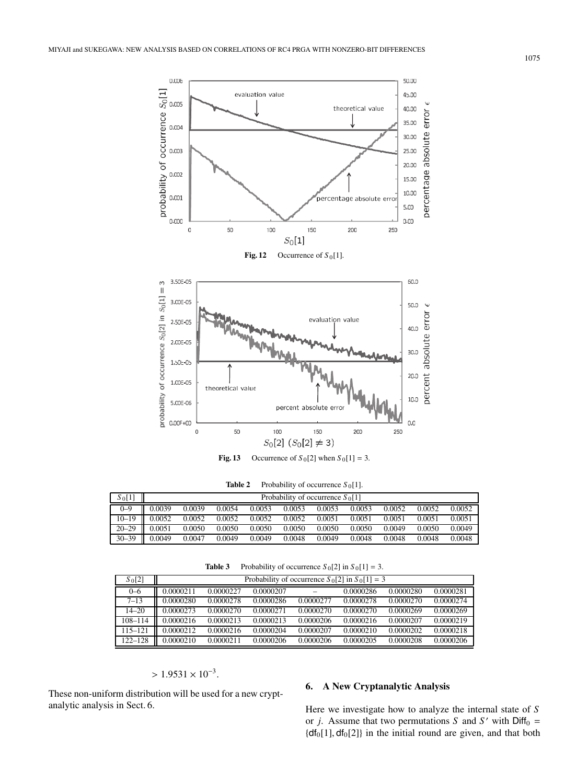

**Table 2** Probability of occurrence  $S_0[1]$ .

| $S_0[1]$  | Probability of occurrence $S_0[1]$ |        |        |        |        |        |        |        |        |        |
|-----------|------------------------------------|--------|--------|--------|--------|--------|--------|--------|--------|--------|
| $0 - 9$   | 0.0039                             | 0.0039 | 0.0054 | 0.0053 | 0.0053 | 0.0053 | 0.0053 | 0.0052 | 0.0052 | 0.0052 |
| $10 - 19$ | Ш<br>0.0052                        | 0.0052 | 0.0052 | 0.0052 | 0.0052 | 0.0051 | 0.0051 | 0.0051 | 0.0051 | 0.0051 |
| $20 - 29$ | Ш<br>0.0051                        | 0.0050 | 0.0050 | 0.0050 | 0.0050 | 0.0050 | 0.0050 | 0.0049 | 0.0050 | 0.0049 |
| $30 - 39$ | 0.0049                             | 0.0047 | 0.0049 | 0.0049 | 0.0048 | 0.0049 | 0.0048 | 0.0048 | 0.0048 | 0.0048 |

**Table 3** Probability of occurrence  $S_0[2]$  in  $S_0[1] = 3$ .

| S <sub>0</sub> [2] | Probability of occurrence $S_0[2]$ in $S_0[1] = 3$ |           |           |           |           |           |           |  |  |
|--------------------|----------------------------------------------------|-----------|-----------|-----------|-----------|-----------|-----------|--|--|
| $0 - 6$            | 0.0000211                                          | 0.0000227 | 0.0000207 |           | 0.0000286 | 0.0000280 | 0.0000281 |  |  |
| $7 - 13$           | 0.0000280                                          | 0.0000278 | 0.0000286 | 0.0000277 | 0.0000278 | 0.0000270 | 0.0000274 |  |  |
| $14 - 20$          | 0.0000273                                          | 0.0000270 | 0.0000271 | 0.0000270 | 0.0000270 | 0.0000269 | 0.0000269 |  |  |
| $108 - 114$        | 0.0000216                                          | 0.0000213 | 0.0000213 | 0.0000206 | 0.0000216 | 0.0000207 | 0.0000219 |  |  |
| $115 - 121$        | 0.0000212                                          | 0.0000216 | 0.0000204 | 0.0000207 | 0.0000210 | 0.0000202 | 0.0000218 |  |  |
| $122 - 128$        | 0.0000210                                          | 0.0000211 | 0.0000206 | 0.0000206 | 0.0000205 | 0.0000208 | 0.0000206 |  |  |

# $> 1.9531 \times 10^{-3}$ .

These non-uniform distribution will be used for a new cryptanalytic analysis in Sect. 6.

# **6. A New Cryptanalytic Analysis**

Here we investigate how to analyze the internal state of *S* or *j*. Assume that two permutations *S* and *S'* with  $\text{Diff}_0$  =  ${df_0[1], df_0[2]}$  in the initial round are given, and that both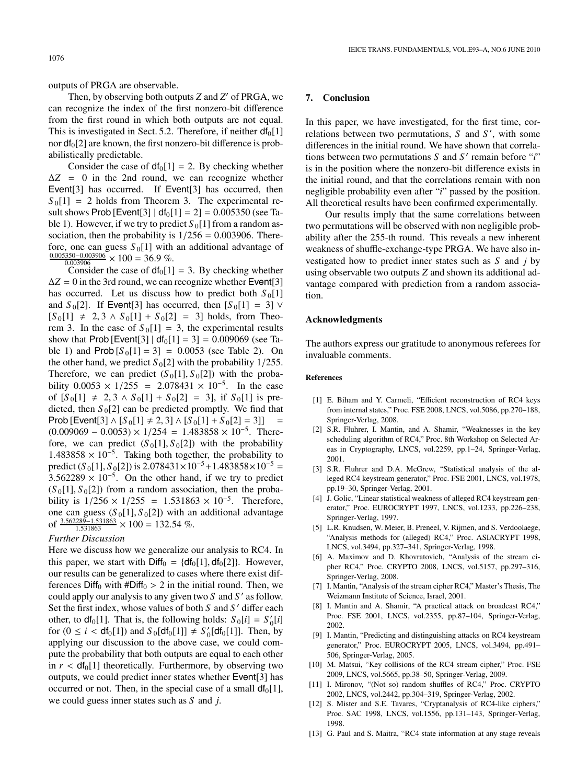outputs of PRGA are observable.

Then, by observing both outputs *Z* and *Z'* of PRGA, we can recognize the index of the first nonzero-bit difference from the first round in which both outputs are not equal. This is investigated in Sect. 5.2. Therefore, if neither  $df_0[1]$ nor  $df_0[2]$  are known, the first nonzero-bit difference is probabilistically predictable.

Consider the case of  $df_0[1] = 2$ . By checking whether  $\Delta Z = 0$  in the 2nd round, we can recognize whether Event<sup>[3]</sup> has occurred. If Event<sup>[3]</sup> has occurred, then  $S_0[1] = 2$  holds from Theorem 3. The experimental result shows Prob [Event[3]  $| df_0[1] = 2 = 0.005350$  (see Table 1). However, if we try to predict  $S_0[1]$  from a random association, then the probability is  $1/256 = 0.003906$ . Therefore, one can guess  $S_0[1]$  with an additional advantage of  $\frac{0.005350 - 0.003906}{0.003906} \times 100 = 36.9 \%$ .

Consider the case of  $df_0[1] = 3$ . By checking whether  $\Delta Z = 0$  in the 3rd round, we can recognize whether Event<sup>[3]</sup> has occurred. Let us discuss how to predict both  $S_0[1]$ and  $S_0[2]$ . If Event[3] has occurred, then  $[S_0[1] = 3]$   $\vee$  $[S_0[1] \neq 2, 3 \wedge S_0[1] + S_0[2] = 3]$  holds, from Theorem 3. In the case of  $S_0[1] = 3$ , the experimental results show that Prob [Event[3] |  $df_0[1] = 3$ ] = 0.009069 (see Table 1) and  $Prob[S_0[1] = 3] = 0.0053$  (see Table 2). On the other hand, we predict  $S_0[2]$  with the probability 1/255. Therefore, we can predict  $(S_0[1], S_0[2])$  with the probability  $0.0053 \times 1/255 = 2.078431 \times 10^{-5}$ . In the case of  $[S_0[1] ≠ 2, 3 \wedge S_0[1] + S_0[2] = 3]$ , if  $S_0[1]$  is predicted, then  $S_0[2]$  can be predicted promptly. We find that  $Prob [Event[3] \wedge [S_0[1] \neq 2, 3] \wedge [S_0[1] + S_0[2] = 3]] =$  $(0.009069 - 0.0053) \times 1/254 = 1.483858 \times 10^{-5}$ . Therefore, we can predict  $(S_0[1], S_0[2])$  with the probability  $1.483858 \times 10^{-5}$ . Taking both together, the probability to predict  $(S_0[1], S_0[2])$  is  $2.078431 \times 10^{-5} + 1.483858 \times 10^{-5} =$  $3.562289 \times 10^{-5}$ . On the other hand, if we try to predict  $(S_0[1], S_0[2])$  from a random association, then the probability is  $1/256 \times 1/255 = 1.531863 \times 10^{-5}$ . Therefore, one can guess  $(S_0[1], S_0[2])$  with an additional advantage of  $\frac{3.562289 - 1.531863}{1.531863} \times 100 = 132.54\%$ .

# *Further Discussion*

Here we discuss how we generalize our analysis to RC4. In this paper, we start with  $\text{Diff}_0 = \{df_0[1], df_0[2]\}.$  However, our results can be generalized to cases where there exist differences Diff<sub>0</sub> with #Diff<sub>0</sub> > 2 in the initial round. Then, we could apply our analysis to any given two *S* and *S* as follow. Set the first index, whose values of both *S* and *S'* differ each other, to  $df_0[1]$ . That is, the following holds:  $S_0[i] = S'_0[i]$ for  $(0 \le i < df_0[1])$  and  $S_0[df_0[1]] \ne S'_0[df_0[1]]$ . Then, by applying our discussion to the above case, we could compute the probability that both outputs are equal to each other in  $r < df_0[1]$  theoretically. Furthermore, by observing two outputs, we could predict inner states whether Event[3] has occurred or not. Then, in the special case of a small  $df_0[1]$ , we could guess inner states such as *S* and *j*.

# **7. Conclusion**

In this paper, we have investigated, for the first time, correlations between two permutations, *S* and *S'*, with some differences in the initial round. We have shown that correlations between two permutations *S* and *S* remain before "*i*" is in the position where the nonzero-bit difference exists in the initial round, and that the correlations remain with non negligible probability even after "*i*" passed by the position. All theoretical results have been confirmed experimentally.

Our results imply that the same correlations between two permutations will be observed with non negligible probability after the 255-th round. This reveals a new inherent weakness of shuffle-exchange-type PRGA. We have also investigated how to predict inner states such as *S* and *j* by using observable two outputs *Z* and shown its additional advantage compared with prediction from a random association.

#### **Acknowledgments**

The authors express our gratitude to anonymous referees for invaluable comments.

#### **References**

- [1] E. Biham and Y. Carmeli, "Efficient reconstruction of RC4 keys from internal states," Proc. FSE 2008, LNCS, vol.5086, pp.270–188, Springer-Verlag, 2008.
- [2] S.R. Fluhrer, I. Mantin, and A. Shamir, "Weaknesses in the key scheduling algorithm of RC4," Proc. 8th Workshop on Selected Areas in Cryptography, LNCS, vol.2259, pp.1–24, Springer-Verlag, 2001.
- [3] S.R. Fluhrer and D.A. McGrew, "Statistical analysis of the alleged RC4 keystream generator," Proc. FSE 2001, LNCS, vol.1978, pp.19–30, Springer-Verlag, 2001.
- [4] J. Golic, "Linear statistical weakness of alleged RC4 keystream generator," Proc. EUROCRYPT 1997, LNCS, vol.1233, pp.226–238, Springer-Verlag, 1997.
- [5] L.R. Knudsen, W. Meier, B. Preneel, V. Rijmen, and S. Verdoolaege, "Analysis methods for (alleged) RC4," Proc. ASIACRYPT 1998, LNCS, vol.3494, pp.327–341, Springer-Verlag, 1998.
- [6] A. Maximov and D. Khovratovich, "Analysis of the stream cipher RC4," Proc. CRYPTO 2008, LNCS, vol.5157, pp.297–316, Springer-Verlag, 2008.
- [7] I. Mantin, "Analysis of the stream cipher RC4," Master's Thesis, The Weizmann Institute of Science, Israel, 2001.
- [8] I. Mantin and A. Shamir, "A practical attack on broadcast RC4," Proc. FSE 2001, LNCS, vol.2355, pp.87–104, Springer-Verlag, 2002.
- [9] I. Mantin, "Predicting and distinguishing attacks on RC4 keystream generator," Proc. EUROCRYPT 2005, LNCS, vol.3494, pp.491– 506, Springer-Verlag, 2005.
- [10] M. Matsui, "Key collisions of the RC4 stream cipher," Proc. FSE 2009, LNCS, vol.5665, pp.38–50, Springer-Verlag, 2009.
- [11] I. Mironov, "(Not so) random shuffles of RC4," Proc. CRYPTO 2002, LNCS, vol.2442, pp.304–319, Springer-Verlag, 2002.
- [12] S. Mister and S.E. Tavares, "Cryptanalysis of RC4-like ciphers," Proc. SAC 1998, LNCS, vol.1556, pp.131–143, Springer-Verlag, 1998.
- [13] G. Paul and S. Maitra, "RC4 state information at any stage reveals